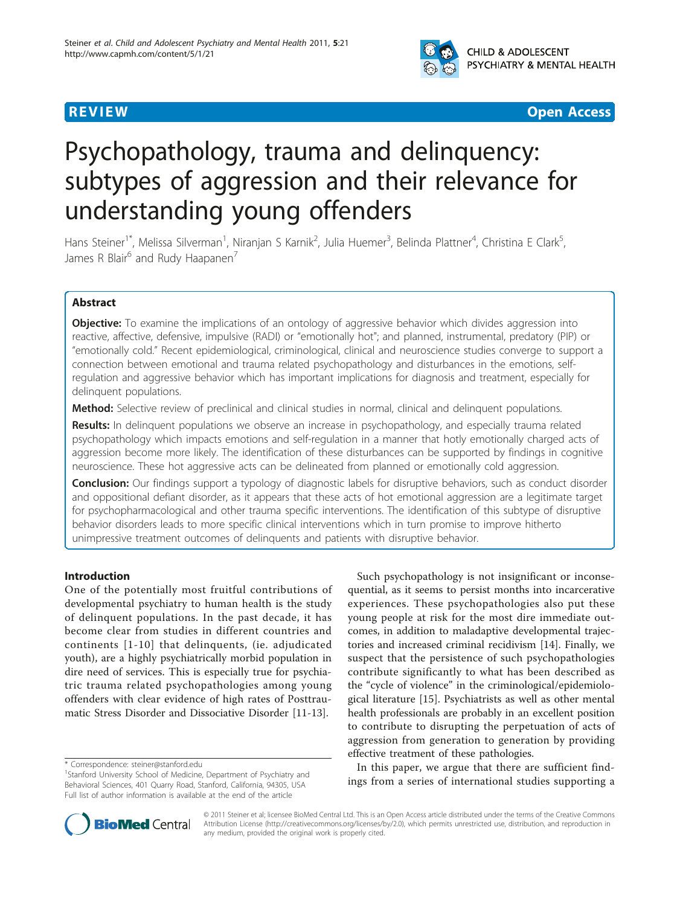

**REVIEW CONTROL** CONTROL CONTROL CONTROL CONTROL CONTROL CONTROL CONTROL CONTROL CONTROL CONTROL CONTROL CONTROL CONTROL CONTROL CONTROL CONTROL CONTROL CONTROL CONTROL CONTROL CONTROL CONTROL CONTROL CONTROL CONTROL CONTR

# Psychopathology, trauma and delinquency: subtypes of aggression and their relevance for understanding young offenders

Hans Steiner<sup>1\*</sup>, Melissa Silverman<sup>1</sup>, Niranjan S Karnik<sup>2</sup>, Julia Huemer<sup>3</sup>, Belinda Plattner<sup>4</sup>, Christina E Clark<sup>5</sup> , James R Blair<sup>6</sup> and Rudy Haapanen<sup>7</sup>

# Abstract

**Objective:** To examine the implications of an ontology of aggressive behavior which divides aggression into reactive, affective, defensive, impulsive (RADI) or "emotionally hot"; and planned, instrumental, predatory (PIP) or "emotionally cold." Recent epidemiological, criminological, clinical and neuroscience studies converge to support a connection between emotional and trauma related psychopathology and disturbances in the emotions, selfregulation and aggressive behavior which has important implications for diagnosis and treatment, especially for delinquent populations.

Method: Selective review of preclinical and clinical studies in normal, clinical and delinquent populations.

Results: In delinquent populations we observe an increase in psychopathology, and especially trauma related psychopathology which impacts emotions and self-regulation in a manner that hotly emotionally charged acts of aggression become more likely. The identification of these disturbances can be supported by findings in cognitive neuroscience. These hot aggressive acts can be delineated from planned or emotionally cold aggression.

Conclusion: Our findings support a typology of diagnostic labels for disruptive behaviors, such as conduct disorder and oppositional defiant disorder, as it appears that these acts of hot emotional aggression are a legitimate target for psychopharmacological and other trauma specific interventions. The identification of this subtype of disruptive behavior disorders leads to more specific clinical interventions which in turn promise to improve hitherto unimpressive treatment outcomes of delinquents and patients with disruptive behavior.

# Introduction

One of the potentially most fruitful contributions of developmental psychiatry to human health is the study of delinquent populations. In the past decade, it has become clear from studies in different countries and continents [[1](#page-9-0)-[10](#page-9-0)] that delinquents, (ie. adjudicated youth), are a highly psychiatrically morbid population in dire need of services. This is especially true for psychiatric trauma related psychopathologies among young offenders with clear evidence of high rates of Posttraumatic Stress Disorder and Dissociative Disorder [\[11](#page-9-0)-[13\]](#page-9-0).

Such psychopathology is not insignificant or inconsequential, as it seems to persist months into incarcerative experiences. These psychopathologies also put these young people at risk for the most dire immediate outcomes, in addition to maladaptive developmental trajectories and increased criminal recidivism [\[14](#page-9-0)]. Finally, we suspect that the persistence of such psychopathologies contribute significantly to what has been described as the "cycle of violence" in the criminological/epidemiological literature [\[15](#page-9-0)]. Psychiatrists as well as other mental health professionals are probably in an excellent position to contribute to disrupting the perpetuation of acts of aggression from generation to generation by providing effective treatment of these pathologies.

In this paper, we argue that there are sufficient findings from a series of international studies supporting a



© 2011 Steiner et al; licensee BioMed Central Ltd. This is an Open Access article distributed under the terms of the Creative Commons Attribution License [\(http://creativecommons.org/licenses/by/2.0](http://creativecommons.org/licenses/by/2.0)), which permits unrestricted use, distribution, and reproduction in any medium, provided the original work is properly cited.

<sup>\*</sup> Correspondence: [steiner@stanford.edu](mailto:steiner@stanford.edu)

<sup>&</sup>lt;sup>1</sup>Stanford University School of Medicine, Department of Psychiatry and Behavioral Sciences, 401 Quarry Road, Stanford, California, 94305, USA Full list of author information is available at the end of the article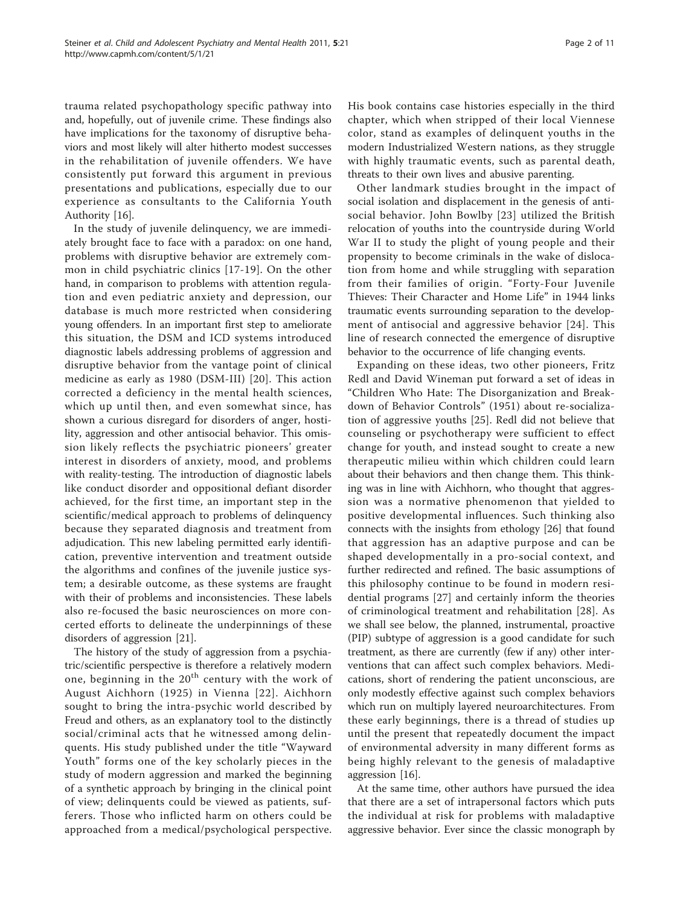trauma related psychopathology specific pathway into and, hopefully, out of juvenile crime. These findings also have implications for the taxonomy of disruptive behaviors and most likely will alter hitherto modest successes in the rehabilitation of juvenile offenders. We have consistently put forward this argument in previous presentations and publications, especially due to our experience as consultants to the California Youth Authority [[16](#page-9-0)].

In the study of juvenile delinquency, we are immediately brought face to face with a paradox: on one hand, problems with disruptive behavior are extremely common in child psychiatric clinics [[17-19\]](#page-9-0). On the other hand, in comparison to problems with attention regulation and even pediatric anxiety and depression, our database is much more restricted when considering young offenders. In an important first step to ameliorate this situation, the DSM and ICD systems introduced diagnostic labels addressing problems of aggression and disruptive behavior from the vantage point of clinical medicine as early as 1980 (DSM-III) [[20](#page-9-0)]. This action corrected a deficiency in the mental health sciences, which up until then, and even somewhat since, has shown a curious disregard for disorders of anger, hostility, aggression and other antisocial behavior. This omission likely reflects the psychiatric pioneers' greater interest in disorders of anxiety, mood, and problems with reality-testing. The introduction of diagnostic labels like conduct disorder and oppositional defiant disorder achieved, for the first time, an important step in the scientific/medical approach to problems of delinquency because they separated diagnosis and treatment from adjudication. This new labeling permitted early identification, preventive intervention and treatment outside the algorithms and confines of the juvenile justice system; a desirable outcome, as these systems are fraught with their of problems and inconsistencies. These labels also re-focused the basic neurosciences on more concerted efforts to delineate the underpinnings of these disorders of aggression [\[21\]](#page-9-0).

The history of the study of aggression from a psychiatric/scientific perspective is therefore a relatively modern one, beginning in the  $20<sup>th</sup>$  century with the work of August Aichhorn (1925) in Vienna [[22\]](#page-9-0). Aichhorn sought to bring the intra-psychic world described by Freud and others, as an explanatory tool to the distinctly social/criminal acts that he witnessed among delinquents. His study published under the title "Wayward Youth" forms one of the key scholarly pieces in the study of modern aggression and marked the beginning of a synthetic approach by bringing in the clinical point of view; delinquents could be viewed as patients, sufferers. Those who inflicted harm on others could be approached from a medical/psychological perspective. His book contains case histories especially in the third chapter, which when stripped of their local Viennese color, stand as examples of delinquent youths in the modern Industrialized Western nations, as they struggle with highly traumatic events, such as parental death, threats to their own lives and abusive parenting.

Other landmark studies brought in the impact of social isolation and displacement in the genesis of antisocial behavior. John Bowlby [[23](#page-9-0)] utilized the British relocation of youths into the countryside during World War II to study the plight of young people and their propensity to become criminals in the wake of dislocation from home and while struggling with separation from their families of origin. "Forty-Four Juvenile Thieves: Their Character and Home Life" in 1944 links traumatic events surrounding separation to the development of antisocial and aggressive behavior [[24\]](#page-9-0). This line of research connected the emergence of disruptive behavior to the occurrence of life changing events.

Expanding on these ideas, two other pioneers, Fritz Redl and David Wineman put forward a set of ideas in "Children Who Hate: The Disorganization and Breakdown of Behavior Controls" (1951) about re-socialization of aggressive youths [[25\]](#page-9-0). Redl did not believe that counseling or psychotherapy were sufficient to effect change for youth, and instead sought to create a new therapeutic milieu within which children could learn about their behaviors and then change them. This thinking was in line with Aichhorn, who thought that aggression was a normative phenomenon that yielded to positive developmental influences. Such thinking also connects with the insights from ethology [\[26](#page-9-0)] that found that aggression has an adaptive purpose and can be shaped developmentally in a pro-social context, and further redirected and refined. The basic assumptions of this philosophy continue to be found in modern residential programs [[27\]](#page-9-0) and certainly inform the theories of criminological treatment and rehabilitation [\[28\]](#page-9-0). As we shall see below, the planned, instrumental, proactive (PIP) subtype of aggression is a good candidate for such treatment, as there are currently (few if any) other interventions that can affect such complex behaviors. Medications, short of rendering the patient unconscious, are only modestly effective against such complex behaviors which run on multiply layered neuroarchitectures. From these early beginnings, there is a thread of studies up until the present that repeatedly document the impact of environmental adversity in many different forms as being highly relevant to the genesis of maladaptive aggression [\[16](#page-9-0)].

At the same time, other authors have pursued the idea that there are a set of intrapersonal factors which puts the individual at risk for problems with maladaptive aggressive behavior. Ever since the classic monograph by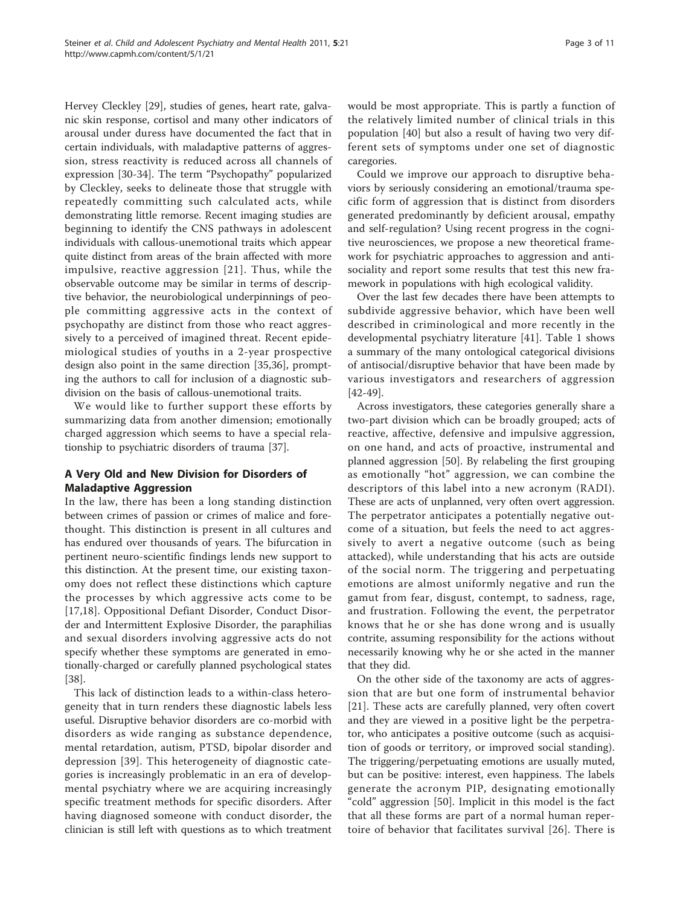Hervey Cleckley [\[29](#page-9-0)], studies of genes, heart rate, galvanic skin response, cortisol and many other indicators of arousal under duress have documented the fact that in certain individuals, with maladaptive patterns of aggression, stress reactivity is reduced across all channels of expression [\[30](#page-9-0)-[34\]](#page-9-0). The term "Psychopathy" popularized by Cleckley, seeks to delineate those that struggle with repeatedly committing such calculated acts, while demonstrating little remorse. Recent imaging studies are beginning to identify the CNS pathways in adolescent individuals with callous-unemotional traits which appear quite distinct from areas of the brain affected with more impulsive, reactive aggression [[21](#page-9-0)]. Thus, while the observable outcome may be similar in terms of descriptive behavior, the neurobiological underpinnings of people committing aggressive acts in the context of psychopathy are distinct from those who react aggressively to a perceived of imagined threat. Recent epidemiological studies of youths in a 2-year prospective design also point in the same direction [[35,36\]](#page-9-0), prompting the authors to call for inclusion of a diagnostic subdivision on the basis of callous-unemotional traits.

We would like to further support these efforts by summarizing data from another dimension; emotionally charged aggression which seems to have a special relationship to psychiatric disorders of trauma [\[37](#page-10-0)].

# A Very Old and New Division for Disorders of Maladaptive Aggression

In the law, there has been a long standing distinction between crimes of passion or crimes of malice and forethought. This distinction is present in all cultures and has endured over thousands of years. The bifurcation in pertinent neuro-scientific findings lends new support to this distinction. At the present time, our existing taxonomy does not reflect these distinctions which capture the processes by which aggressive acts come to be [[17,18](#page-9-0)]. Oppositional Defiant Disorder, Conduct Disorder and Intermittent Explosive Disorder, the paraphilias and sexual disorders involving aggressive acts do not specify whether these symptoms are generated in emotionally-charged or carefully planned psychological states [[38\]](#page-10-0).

This lack of distinction leads to a within-class heterogeneity that in turn renders these diagnostic labels less useful. Disruptive behavior disorders are co-morbid with disorders as wide ranging as substance dependence, mental retardation, autism, PTSD, bipolar disorder and depression [[39](#page-10-0)]. This heterogeneity of diagnostic categories is increasingly problematic in an era of developmental psychiatry where we are acquiring increasingly specific treatment methods for specific disorders. After having diagnosed someone with conduct disorder, the clinician is still left with questions as to which treatment

would be most appropriate. This is partly a function of the relatively limited number of clinical trials in this population [[40\]](#page-10-0) but also a result of having two very different sets of symptoms under one set of diagnostic caregories.

Could we improve our approach to disruptive behaviors by seriously considering an emotional/trauma specific form of aggression that is distinct from disorders generated predominantly by deficient arousal, empathy and self-regulation? Using recent progress in the cognitive neurosciences, we propose a new theoretical framework for psychiatric approaches to aggression and antisociality and report some results that test this new framework in populations with high ecological validity.

Over the last few decades there have been attempts to subdivide aggressive behavior, which have been well described in criminological and more recently in the developmental psychiatry literature [\[41](#page-10-0)]. Table [1](#page-3-0) shows a summary of the many ontological categorical divisions of antisocial/disruptive behavior that have been made by various investigators and researchers of aggression [[42-49\]](#page-10-0).

Across investigators, these categories generally share a two-part division which can be broadly grouped; acts of reactive, affective, defensive and impulsive aggression, on one hand, and acts of proactive, instrumental and planned aggression [\[50](#page-10-0)]. By relabeling the first grouping as emotionally "hot" aggression, we can combine the descriptors of this label into a new acronym (RADI). These are acts of unplanned, very often overt aggression. The perpetrator anticipates a potentially negative outcome of a situation, but feels the need to act aggressively to avert a negative outcome (such as being attacked), while understanding that his acts are outside of the social norm. The triggering and perpetuating emotions are almost uniformly negative and run the gamut from fear, disgust, contempt, to sadness, rage, and frustration. Following the event, the perpetrator knows that he or she has done wrong and is usually contrite, assuming responsibility for the actions without necessarily knowing why he or she acted in the manner that they did.

On the other side of the taxonomy are acts of aggression that are but one form of instrumental behavior [[21\]](#page-9-0). These acts are carefully planned, very often covert and they are viewed in a positive light be the perpetrator, who anticipates a positive outcome (such as acquisition of goods or territory, or improved social standing). The triggering/perpetuating emotions are usually muted, but can be positive: interest, even happiness. The labels generate the acronym PIP, designating emotionally "cold" aggression [[50](#page-10-0)]. Implicit in this model is the fact that all these forms are part of a normal human repertoire of behavior that facilitates survival [[26](#page-9-0)]. There is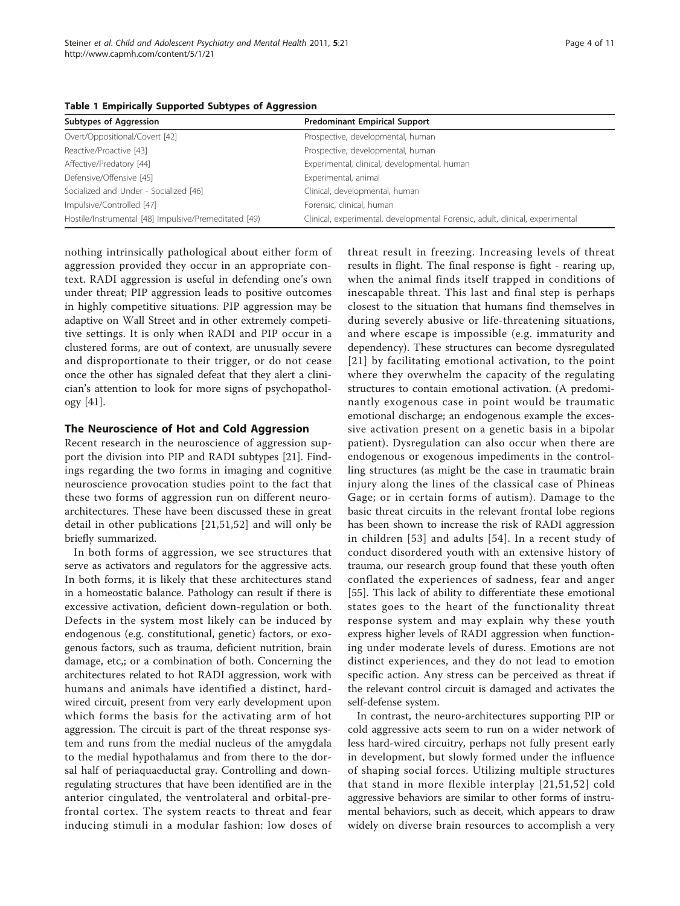| Subtypes of Aggression                                | <b>Predominant Empirical Support</b>                                          |
|-------------------------------------------------------|-------------------------------------------------------------------------------|
| Overt/Oppositional/Covert [42]                        | Prospective, developmental, human                                             |
| Reactive/Proactive [43]                               | Prospective, developmental, human                                             |
| Affective/Predatory [44]                              | Experimental, clinical, developmental, human                                  |
| Defensive/Offensive [45]                              | Experimental, animal                                                          |
| Socialized and Under - Socialized [46]                | Clinical, developmental, human                                                |
| Impulsive/Controlled [47]                             | Forensic, clinical, human                                                     |
| Hostile/Instrumental [48] Impulsive/Premeditated [49) | Clinical, experimental, developmental Forensic, adult, clinical, experimental |

<span id="page-3-0"></span>Table 1 Empirically Supported Subtypes of Aggression

nothing intrinsically pathological about either form of aggression provided they occur in an appropriate context. RADI aggression is useful in defending one's own under threat; PIP aggression leads to positive outcomes in highly competitive situations. PIP aggression may be adaptive on Wall Street and in other extremely competitive settings. It is only when RADI and PIP occur in a clustered forms, are out of context, are unusually severe and disproportionate to their trigger, or do not cease once the other has signaled defeat that they alert a clinician's attention to look for more signs of psychopathology [\[41\]](#page-10-0).

## The Neuroscience of Hot and Cold Aggression

Recent research in the neuroscience of aggression support the division into PIP and RADI subtypes [[21](#page-9-0)]. Findings regarding the two forms in imaging and cognitive neuroscience provocation studies point to the fact that these two forms of aggression run on different neuroarchitectures. These have been discussed these in great detail in other publications [[21,](#page-9-0)[51](#page-10-0),[52\]](#page-10-0) and will only be briefly summarized.

In both forms of aggression, we see structures that serve as activators and regulators for the aggressive acts. In both forms, it is likely that these architectures stand in a homeostatic balance. Pathology can result if there is excessive activation, deficient down-regulation or both. Defects in the system most likely can be induced by endogenous (e.g. constitutional, genetic) factors, or exogenous factors, such as trauma, deficient nutrition, brain damage, etc,; or a combination of both. Concerning the architectures related to hot RADI aggression, work with humans and animals have identified a distinct, hardwired circuit, present from very early development upon which forms the basis for the activating arm of hot aggression. The circuit is part of the threat response system and runs from the medial nucleus of the amygdala to the medial hypothalamus and from there to the dorsal half of periaquaeductal gray. Controlling and downregulating structures that have been identified are in the anterior cingulated, the ventrolateral and orbital-prefrontal cortex. The system reacts to threat and fear inducing stimuli in a modular fashion: low doses of

threat result in freezing. Increasing levels of threat results in flight. The final response is fight - rearing up, when the animal finds itself trapped in conditions of inescapable threat. This last and final step is perhaps closest to the situation that humans find themselves in during severely abusive or life-threatening situations, and where escape is impossible (e.g. immaturity and dependency). These structures can become dysregulated [[21\]](#page-9-0) by facilitating emotional activation, to the point where they overwhelm the capacity of the regulating structures to contain emotional activation. (A predominantly exogenous case in point would be traumatic emotional discharge; an endogenous example the excessive activation present on a genetic basis in a bipolar patient). Dysregulation can also occur when there are endogenous or exogenous impediments in the controlling structures (as might be the case in traumatic brain injury along the lines of the classical case of Phineas Gage; or in certain forms of autism). Damage to the basic threat circuits in the relevant frontal lobe regions has been shown to increase the risk of RADI aggression in children [[53\]](#page-10-0) and adults [[54](#page-10-0)]. In a recent study of conduct disordered youth with an extensive history of trauma, our research group found that these youth often conflated the experiences of sadness, fear and anger [[55\]](#page-10-0). This lack of ability to differentiate these emotional states goes to the heart of the functionality threat response system and may explain why these youth express higher levels of RADI aggression when functioning under moderate levels of duress. Emotions are not distinct experiences, and they do not lead to emotion specific action. Any stress can be perceived as threat if the relevant control circuit is damaged and activates the self-defense system.

In contrast, the neuro-architectures supporting PIP or cold aggressive acts seem to run on a wider network of less hard-wired circuitry, perhaps not fully present early in development, but slowly formed under the influence of shaping social forces. Utilizing multiple structures that stand in more flexible interplay [[21](#page-9-0),[51,52\]](#page-10-0) cold aggressive behaviors are similar to other forms of instrumental behaviors, such as deceit, which appears to draw widely on diverse brain resources to accomplish a very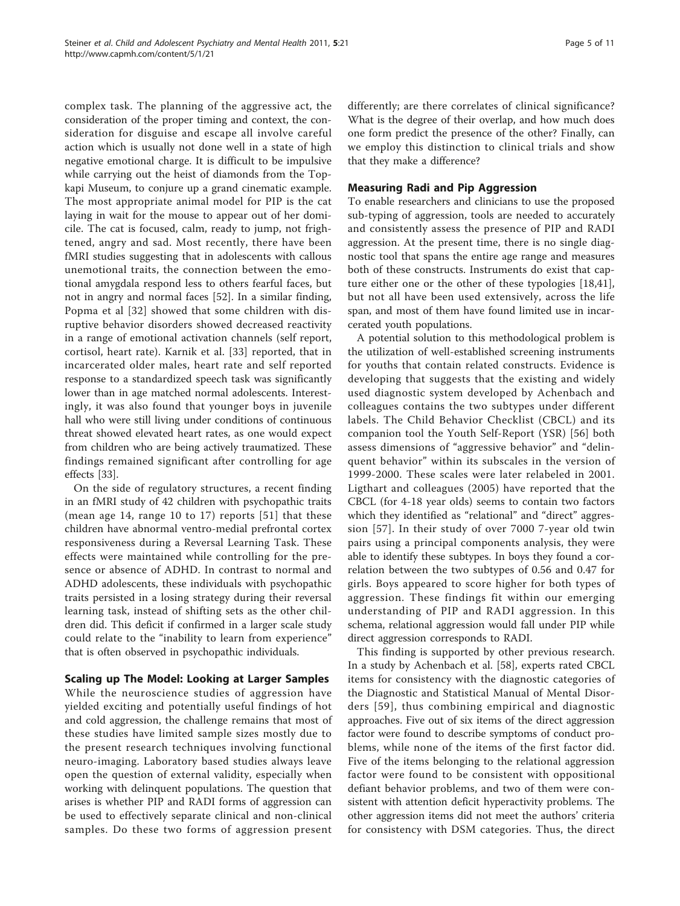complex task. The planning of the aggressive act, the consideration of the proper timing and context, the consideration for disguise and escape all involve careful action which is usually not done well in a state of high negative emotional charge. It is difficult to be impulsive while carrying out the heist of diamonds from the Topkapi Museum, to conjure up a grand cinematic example. The most appropriate animal model for PIP is the cat laying in wait for the mouse to appear out of her domicile. The cat is focused, calm, ready to jump, not frightened, angry and sad. Most recently, there have been fMRI studies suggesting that in adolescents with callous unemotional traits, the connection between the emotional amygdala respond less to others fearful faces, but not in angry and normal faces [\[52](#page-10-0)]. In a similar finding, Popma et al [\[32\]](#page-9-0) showed that some children with disruptive behavior disorders showed decreased reactivity in a range of emotional activation channels (self report, cortisol, heart rate). Karnik et al. [[33\]](#page-9-0) reported, that in incarcerated older males, heart rate and self reported response to a standardized speech task was significantly lower than in age matched normal adolescents. Interestingly, it was also found that younger boys in juvenile hall who were still living under conditions of continuous threat showed elevated heart rates, as one would expect from children who are being actively traumatized. These findings remained significant after controlling for age effects [[33\]](#page-9-0).

On the side of regulatory structures, a recent finding in an fMRI study of 42 children with psychopathic traits (mean age 14, range 10 to 17) reports [\[51\]](#page-10-0) that these children have abnormal ventro-medial prefrontal cortex responsiveness during a Reversal Learning Task. These effects were maintained while controlling for the presence or absence of ADHD. In contrast to normal and ADHD adolescents, these individuals with psychopathic traits persisted in a losing strategy during their reversal learning task, instead of shifting sets as the other children did. This deficit if confirmed in a larger scale study could relate to the "inability to learn from experience" that is often observed in psychopathic individuals.

Scaling up The Model: Looking at Larger Samples While the neuroscience studies of aggression have yielded exciting and potentially useful findings of hot and cold aggression, the challenge remains that most of these studies have limited sample sizes mostly due to the present research techniques involving functional neuro-imaging. Laboratory based studies always leave open the question of external validity, especially when working with delinquent populations. The question that arises is whether PIP and RADI forms of aggression can be used to effectively separate clinical and non-clinical samples. Do these two forms of aggression present

differently; are there correlates of clinical significance? What is the degree of their overlap, and how much does one form predict the presence of the other? Finally, can we employ this distinction to clinical trials and show that they make a difference?

# Measuring Radi and Pip Aggression

To enable researchers and clinicians to use the proposed sub-typing of aggression, tools are needed to accurately and consistently assess the presence of PIP and RADI aggression. At the present time, there is no single diagnostic tool that spans the entire age range and measures both of these constructs. Instruments do exist that capture either one or the other of these typologies [[18,](#page-9-0)[41](#page-10-0)], but not all have been used extensively, across the life span, and most of them have found limited use in incarcerated youth populations.

A potential solution to this methodological problem is the utilization of well-established screening instruments for youths that contain related constructs. Evidence is developing that suggests that the existing and widely used diagnostic system developed by Achenbach and colleagues contains the two subtypes under different labels. The Child Behavior Checklist (CBCL) and its companion tool the Youth Self-Report (YSR) [[56\]](#page-10-0) both assess dimensions of "aggressive behavior" and "delinquent behavior" within its subscales in the version of 1999-2000. These scales were later relabeled in 2001. Ligthart and colleagues (2005) have reported that the CBCL (for 4-18 year olds) seems to contain two factors which they identified as "relational" and "direct" aggression [[57\]](#page-10-0). In their study of over 7000 7-year old twin pairs using a principal components analysis, they were able to identify these subtypes. In boys they found a correlation between the two subtypes of 0.56 and 0.47 for girls. Boys appeared to score higher for both types of aggression. These findings fit within our emerging understanding of PIP and RADI aggression. In this schema, relational aggression would fall under PIP while direct aggression corresponds to RADI.

This finding is supported by other previous research. In a study by Achenbach et al. [\[58](#page-10-0)], experts rated CBCL items for consistency with the diagnostic categories of the Diagnostic and Statistical Manual of Mental Disorders [[59\]](#page-10-0), thus combining empirical and diagnostic approaches. Five out of six items of the direct aggression factor were found to describe symptoms of conduct problems, while none of the items of the first factor did. Five of the items belonging to the relational aggression factor were found to be consistent with oppositional defiant behavior problems, and two of them were consistent with attention deficit hyperactivity problems. The other aggression items did not meet the authors' criteria for consistency with DSM categories. Thus, the direct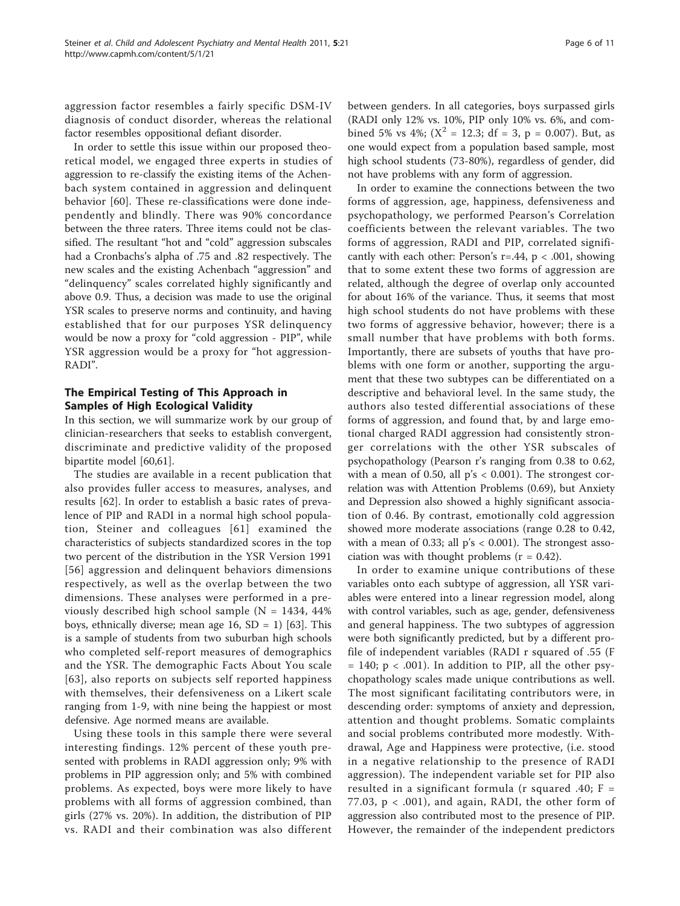aggression factor resembles a fairly specific DSM-IV diagnosis of conduct disorder, whereas the relational factor resembles oppositional defiant disorder.

In order to settle this issue within our proposed theoretical model, we engaged three experts in studies of aggression to re-classify the existing items of the Achenbach system contained in aggression and delinquent behavior [[60\]](#page-10-0). These re-classifications were done independently and blindly. There was 90% concordance between the three raters. Three items could not be classified. The resultant "hot and "cold" aggression subscales had a Cronbachs's alpha of .75 and .82 respectively. The new scales and the existing Achenbach "aggression" and "delinquency" scales correlated highly significantly and above 0.9. Thus, a decision was made to use the original YSR scales to preserve norms and continuity, and having established that for our purposes YSR delinquency would be now a proxy for "cold aggression - PIP", while YSR aggression would be a proxy for "hot aggression-RADI".

# The Empirical Testing of This Approach in Samples of High Ecological Validity

In this section, we will summarize work by our group of clinician-researchers that seeks to establish convergent, discriminate and predictive validity of the proposed bipartite model [[60](#page-10-0),[61](#page-10-0)].

The studies are available in a recent publication that also provides fuller access to measures, analyses, and results [\[62](#page-10-0)]. In order to establish a basic rates of prevalence of PIP and RADI in a normal high school population, Steiner and colleagues [[61](#page-10-0)] examined the characteristics of subjects standardized scores in the top two percent of the distribution in the YSR Version 1991 [[56\]](#page-10-0) aggression and delinquent behaviors dimensions respectively, as well as the overlap between the two dimensions. These analyses were performed in a previously described high school sample ( $N = 1434, 44\%$ boys, ethnically diverse; mean age 16, SD = 1) [[63\]](#page-10-0). This is a sample of students from two suburban high schools who completed self-report measures of demographics and the YSR. The demographic Facts About You scale [[63\]](#page-10-0), also reports on subjects self reported happiness with themselves, their defensiveness on a Likert scale ranging from 1-9, with nine being the happiest or most defensive. Age normed means are available.

Using these tools in this sample there were several interesting findings. 12% percent of these youth presented with problems in RADI aggression only; 9% with problems in PIP aggression only; and 5% with combined problems. As expected, boys were more likely to have problems with all forms of aggression combined, than girls (27% vs. 20%). In addition, the distribution of PIP vs. RADI and their combination was also different between genders. In all categories, boys surpassed girls (RADI only 12% vs. 10%, PIP only 10% vs. 6%, and combined 5% vs 4%; ( $X^2 = 12.3$ ; df = 3, p = 0.007). But, as one would expect from a population based sample, most high school students (73-80%), regardless of gender, did not have problems with any form of aggression.

In order to examine the connections between the two forms of aggression, age, happiness, defensiveness and psychopathology, we performed Pearson's Correlation coefficients between the relevant variables. The two forms of aggression, RADI and PIP, correlated significantly with each other: Person's  $r = .44$ ,  $p < .001$ , showing that to some extent these two forms of aggression are related, although the degree of overlap only accounted for about 16% of the variance. Thus, it seems that most high school students do not have problems with these two forms of aggressive behavior, however; there is a small number that have problems with both forms. Importantly, there are subsets of youths that have problems with one form or another, supporting the argument that these two subtypes can be differentiated on a descriptive and behavioral level. In the same study, the authors also tested differential associations of these forms of aggression, and found that, by and large emotional charged RADI aggression had consistently stronger correlations with the other YSR subscales of psychopathology (Pearson r's ranging from 0.38 to 0.62, with a mean of 0.50, all  $p's < 0.001$ ). The strongest correlation was with Attention Problems (0.69), but Anxiety and Depression also showed a highly significant association of 0.46. By contrast, emotionally cold aggression showed more moderate associations (range 0.28 to 0.42, with a mean of 0.33; all  $p's < 0.001$ ). The strongest association was with thought problems  $(r = 0.42)$ .

In order to examine unique contributions of these variables onto each subtype of aggression, all YSR variables were entered into a linear regression model, along with control variables, such as age, gender, defensiveness and general happiness. The two subtypes of aggression were both significantly predicted, but by a different profile of independent variables (RADI r squared of .55 (F  $= 140$ ;  $p < .001$ ). In addition to PIP, all the other psychopathology scales made unique contributions as well. The most significant facilitating contributors were, in descending order: symptoms of anxiety and depression, attention and thought problems. Somatic complaints and social problems contributed more modestly. Withdrawal, Age and Happiness were protective, (i.e. stood in a negative relationship to the presence of RADI aggression). The independent variable set for PIP also resulted in a significant formula (r squared .40;  $F =$ 77.03,  $p < .001$ ), and again, RADI, the other form of aggression also contributed most to the presence of PIP. However, the remainder of the independent predictors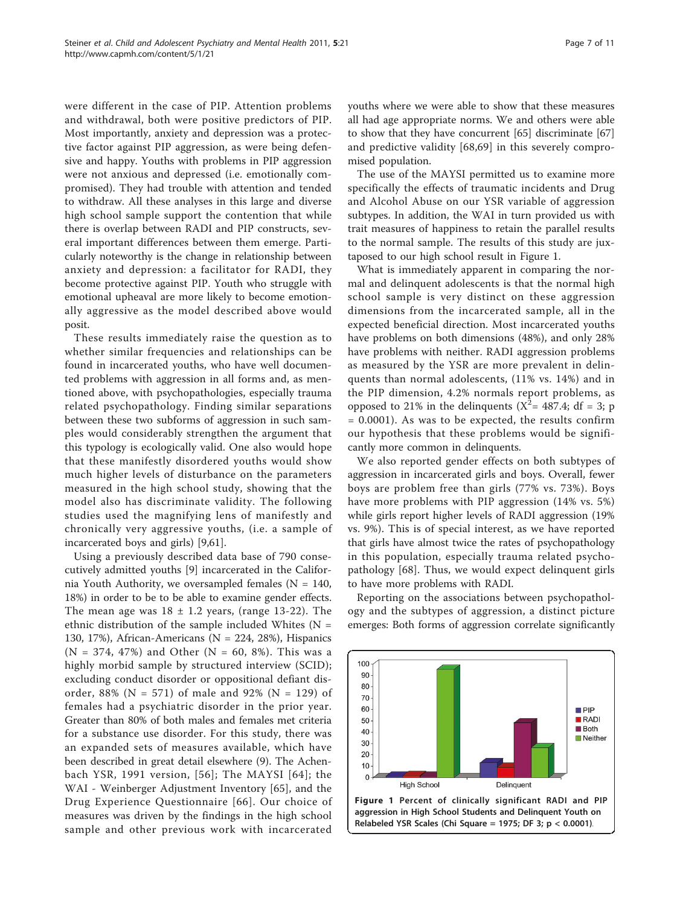were different in the case of PIP. Attention problems and withdrawal, both were positive predictors of PIP. Most importantly, anxiety and depression was a protective factor against PIP aggression, as were being defensive and happy. Youths with problems in PIP aggression were not anxious and depressed (i.e. emotionally compromised). They had trouble with attention and tended to withdraw. All these analyses in this large and diverse high school sample support the contention that while there is overlap between RADI and PIP constructs, several important differences between them emerge. Particularly noteworthy is the change in relationship between anxiety and depression: a facilitator for RADI, they become protective against PIP. Youth who struggle with emotional upheaval are more likely to become emotionally aggressive as the model described above would posit.

These results immediately raise the question as to whether similar frequencies and relationships can be found in incarcerated youths, who have well documented problems with aggression in all forms and, as mentioned above, with psychopathologies, especially trauma related psychopathology. Finding similar separations between these two subforms of aggression in such samples would considerably strengthen the argument that this typology is ecologically valid. One also would hope that these manifestly disordered youths would show much higher levels of disturbance on the parameters measured in the high school study, showing that the model also has discriminate validity. The following studies used the magnifying lens of manifestly and chronically very aggressive youths, (i.e. a sample of incarcerated boys and girls) [\[9](#page-9-0)[,61](#page-10-0)].

Using a previously described data base of 790 consecutively admitted youths [[9\]](#page-9-0) incarcerated in the California Youth Authority, we oversampled females ( $N = 140$ , 18%) in order to be to be able to examine gender effects. The mean age was  $18 \pm 1.2$  years, (range 13-22). The ethnic distribution of the sample included Whites ( $N =$ 130, 17%), African-Americans (N = 224, 28%), Hispanics  $(N = 374, 47%)$  and Other  $(N = 60, 8%)$ . This was a highly morbid sample by structured interview (SCID); excluding conduct disorder or oppositional defiant disorder, 88% (N = 571) of male and 92% (N = 129) of females had a psychiatric disorder in the prior year. Greater than 80% of both males and females met criteria for a substance use disorder. For this study, there was an expanded sets of measures available, which have been described in great detail elsewhere (9). The Achenbach YSR, 1991 version, [[56\]](#page-10-0); The MAYSI [[64\]](#page-10-0); the WAI - Weinberger Adjustment Inventory [[65\]](#page-10-0), and the Drug Experience Questionnaire [[66\]](#page-10-0). Our choice of measures was driven by the findings in the high school sample and other previous work with incarcerated youths where we were able to show that these measures all had age appropriate norms. We and others were able to show that they have concurrent [\[65\]](#page-10-0) discriminate [[67](#page-10-0)] and predictive validity [[68,69](#page-10-0)] in this severely compromised population.

The use of the MAYSI permitted us to examine more specifically the effects of traumatic incidents and Drug and Alcohol Abuse on our YSR variable of aggression subtypes. In addition, the WAI in turn provided us with trait measures of happiness to retain the parallel results to the normal sample. The results of this study are juxtaposed to our high school result in Figure 1.

What is immediately apparent in comparing the normal and delinquent adolescents is that the normal high school sample is very distinct on these aggression dimensions from the incarcerated sample, all in the expected beneficial direction. Most incarcerated youths have problems on both dimensions (48%), and only 28% have problems with neither. RADI aggression problems as measured by the YSR are more prevalent in delinquents than normal adolescents, (11% vs. 14%) and in the PIP dimension, 4.2% normals report problems, as opposed to 21% in the delinquents ( $X^2$ = 487.4; df = 3; p = 0.0001). As was to be expected, the results confirm our hypothesis that these problems would be significantly more common in delinquents.

We also reported gender effects on both subtypes of aggression in incarcerated girls and boys. Overall, fewer boys are problem free than girls (77% vs. 73%). Boys have more problems with PIP aggression (14% vs. 5%) while girls report higher levels of RADI aggression (19% vs. 9%). This is of special interest, as we have reported that girls have almost twice the rates of psychopathology in this population, especially trauma related psychopathology [\[68](#page-10-0)]. Thus, we would expect delinquent girls to have more problems with RADI.

Reporting on the associations between psychopathology and the subtypes of aggression, a distinct picture emerges: Both forms of aggression correlate significantly

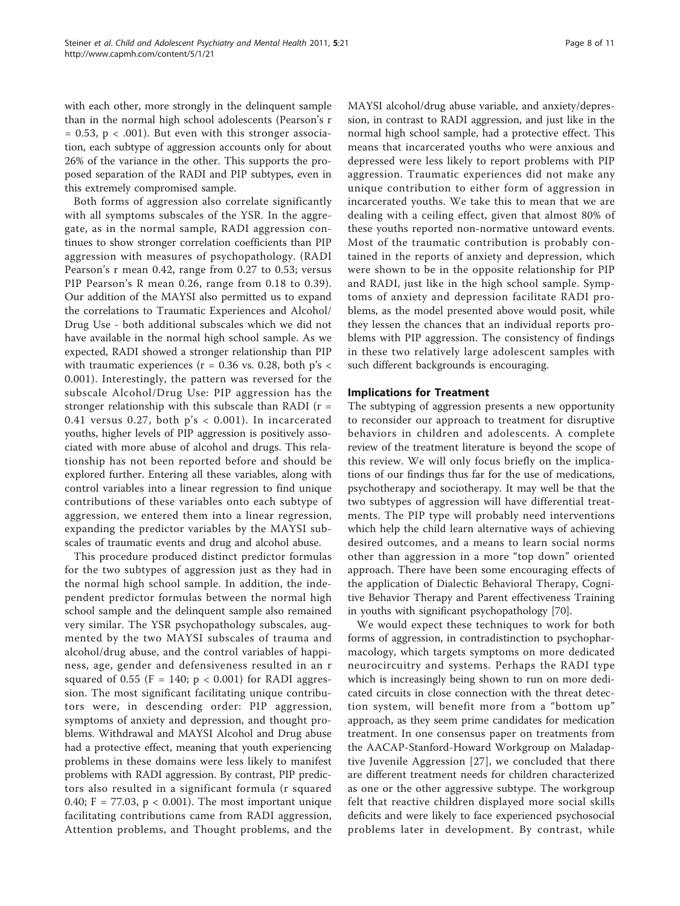with each other, more strongly in the delinquent sample than in the normal high school adolescents (Pearson's r  $= 0.53$ ,  $p < .001$ ). But even with this stronger association, each subtype of aggression accounts only for about 26% of the variance in the other. This supports the proposed separation of the RADI and PIP subtypes, even in this extremely compromised sample.

Both forms of aggression also correlate significantly with all symptoms subscales of the YSR. In the aggregate, as in the normal sample, RADI aggression continues to show stronger correlation coefficients than PIP aggression with measures of psychopathology. (RADI Pearson's r mean 0.42, range from 0.27 to 0.53; versus PIP Pearson's R mean 0.26, range from 0.18 to 0.39). Our addition of the MAYSI also permitted us to expand the correlations to Traumatic Experiences and Alcohol/ Drug Use - both additional subscales which we did not have available in the normal high school sample. As we expected, RADI showed a stronger relationship than PIP with traumatic experiences ( $r = 0.36$  vs. 0.28, both  $p's <$ 0.001). Interestingly, the pattern was reversed for the subscale Alcohol/Drug Use: PIP aggression has the stronger relationship with this subscale than RADI ( $r =$ 0.41 versus 0.27, both  $p's < 0.001$ ). In incarcerated youths, higher levels of PIP aggression is positively associated with more abuse of alcohol and drugs. This relationship has not been reported before and should be explored further. Entering all these variables, along with control variables into a linear regression to find unique contributions of these variables onto each subtype of aggression, we entered them into a linear regression, expanding the predictor variables by the MAYSI subscales of traumatic events and drug and alcohol abuse.

This procedure produced distinct predictor formulas for the two subtypes of aggression just as they had in the normal high school sample. In addition, the independent predictor formulas between the normal high school sample and the delinquent sample also remained very similar. The YSR psychopathology subscales, augmented by the two MAYSI subscales of trauma and alcohol/drug abuse, and the control variables of happiness, age, gender and defensiveness resulted in an r squared of 0.55 (F = 140;  $p < 0.001$ ) for RADI aggression. The most significant facilitating unique contributors were, in descending order: PIP aggression, symptoms of anxiety and depression, and thought problems. Withdrawal and MAYSI Alcohol and Drug abuse had a protective effect, meaning that youth experiencing problems in these domains were less likely to manifest problems with RADI aggression. By contrast, PIP predictors also resulted in a significant formula (r squared 0.40;  $F = 77.03$ ,  $p < 0.001$ ). The most important unique facilitating contributions came from RADI aggression, Attention problems, and Thought problems, and the MAYSI alcohol/drug abuse variable, and anxiety/depression, in contrast to RADI aggression, and just like in the normal high school sample, had a protective effect. This means that incarcerated youths who were anxious and depressed were less likely to report problems with PIP aggression. Traumatic experiences did not make any unique contribution to either form of aggression in incarcerated youths. We take this to mean that we are dealing with a ceiling effect, given that almost 80% of these youths reported non-normative untoward events. Most of the traumatic contribution is probably contained in the reports of anxiety and depression, which were shown to be in the opposite relationship for PIP and RADI, just like in the high school sample. Symptoms of anxiety and depression facilitate RADI problems, as the model presented above would posit, while they lessen the chances that an individual reports problems with PIP aggression. The consistency of findings in these two relatively large adolescent samples with such different backgrounds is encouraging.

#### Implications for Treatment

The subtyping of aggression presents a new opportunity to reconsider our approach to treatment for disruptive behaviors in children and adolescents. A complete review of the treatment literature is beyond the scope of this review. We will only focus briefly on the implications of our findings thus far for the use of medications, psychotherapy and sociotherapy. It may well be that the two subtypes of aggression will have differential treatments. The PIP type will probably need interventions which help the child learn alternative ways of achieving desired outcomes, and a means to learn social norms other than aggression in a more "top down" oriented approach. There have been some encouraging effects of the application of Dialectic Behavioral Therapy, Cognitive Behavior Therapy and Parent effectiveness Training in youths with significant psychopathology [\[70](#page-10-0)].

We would expect these techniques to work for both forms of aggression, in contradistinction to psychopharmacology, which targets symptoms on more dedicated neurocircuitry and systems. Perhaps the RADI type which is increasingly being shown to run on more dedicated circuits in close connection with the threat detection system, will benefit more from a "bottom up" approach, as they seem prime candidates for medication treatment. In one consensus paper on treatments from the AACAP-Stanford-Howard Workgroup on Maladaptive Juvenile Aggression [[27](#page-9-0)], we concluded that there are different treatment needs for children characterized as one or the other aggressive subtype. The workgroup felt that reactive children displayed more social skills deficits and were likely to face experienced psychosocial problems later in development. By contrast, while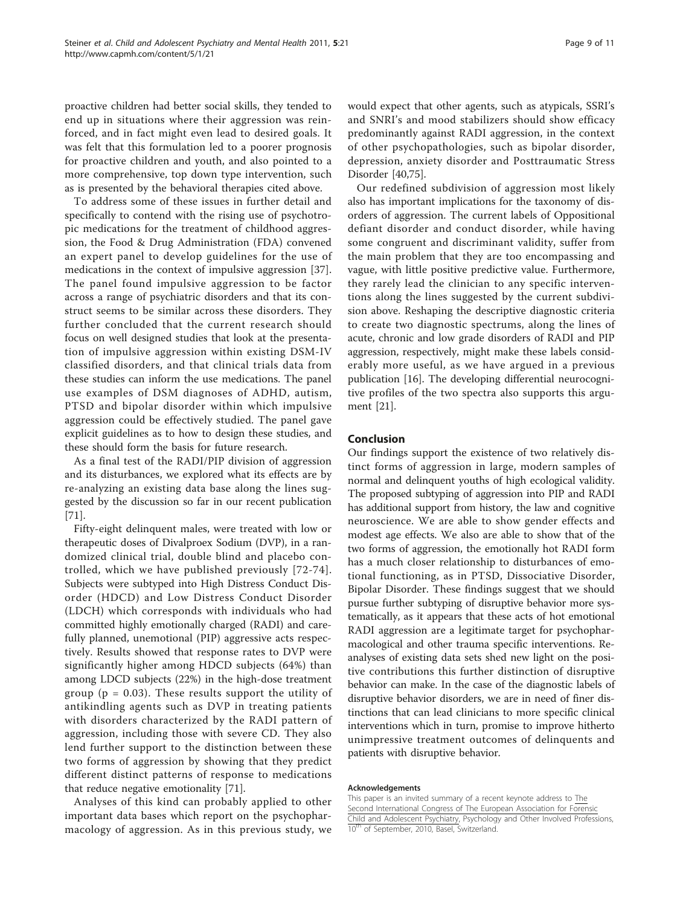proactive children had better social skills, they tended to end up in situations where their aggression was reinforced, and in fact might even lead to desired goals. It was felt that this formulation led to a poorer prognosis for proactive children and youth, and also pointed to a more comprehensive, top down type intervention, such as is presented by the behavioral therapies cited above.

To address some of these issues in further detail and specifically to contend with the rising use of psychotropic medications for the treatment of childhood aggression, the Food & Drug Administration (FDA) convened an expert panel to develop guidelines for the use of medications in the context of impulsive aggression [\[37](#page-10-0)]. The panel found impulsive aggression to be factor across a range of psychiatric disorders and that its construct seems to be similar across these disorders. They further concluded that the current research should focus on well designed studies that look at the presentation of impulsive aggression within existing DSM-IV classified disorders, and that clinical trials data from these studies can inform the use medications. The panel use examples of DSM diagnoses of ADHD, autism, PTSD and bipolar disorder within which impulsive aggression could be effectively studied. The panel gave explicit guidelines as to how to design these studies, and these should form the basis for future research.

As a final test of the RADI/PIP division of aggression and its disturbances, we explored what its effects are by re-analyzing an existing data base along the lines suggested by the discussion so far in our recent publication [[71\]](#page-10-0).

Fifty-eight delinquent males, were treated with low or therapeutic doses of Divalproex Sodium (DVP), in a randomized clinical trial, double blind and placebo controlled, which we have published previously [[72](#page-10-0)-[74\]](#page-10-0). Subjects were subtyped into High Distress Conduct Disorder (HDCD) and Low Distress Conduct Disorder (LDCH) which corresponds with individuals who had committed highly emotionally charged (RADI) and carefully planned, unemotional (PIP) aggressive acts respectively. Results showed that response rates to DVP were significantly higher among HDCD subjects (64%) than among LDCD subjects (22%) in the high-dose treatment group ( $p = 0.03$ ). These results support the utility of antikindling agents such as DVP in treating patients with disorders characterized by the RADI pattern of aggression, including those with severe CD. They also lend further support to the distinction between these two forms of aggression by showing that they predict different distinct patterns of response to medications that reduce negative emotionality [\[71\]](#page-10-0).

Analyses of this kind can probably applied to other important data bases which report on the psychopharmacology of aggression. As in this previous study, we would expect that other agents, such as atypicals, SSRI's and SNRI's and mood stabilizers should show efficacy predominantly against RADI aggression, in the context of other psychopathologies, such as bipolar disorder, depression, anxiety disorder and Posttraumatic Stress Disorder [[40,75](#page-10-0)].

Our redefined subdivision of aggression most likely also has important implications for the taxonomy of disorders of aggression. The current labels of Oppositional defiant disorder and conduct disorder, while having some congruent and discriminant validity, suffer from the main problem that they are too encompassing and vague, with little positive predictive value. Furthermore, they rarely lead the clinician to any specific interventions along the lines suggested by the current subdivision above. Reshaping the descriptive diagnostic criteria to create two diagnostic spectrums, along the lines of acute, chronic and low grade disorders of RADI and PIP aggression, respectively, might make these labels considerably more useful, as we have argued in a previous publication [[16\]](#page-9-0). The developing differential neurocognitive profiles of the two spectra also supports this argument [\[21\]](#page-9-0).

### Conclusion

Our findings support the existence of two relatively distinct forms of aggression in large, modern samples of normal and delinquent youths of high ecological validity. The proposed subtyping of aggression into PIP and RADI has additional support from history, the law and cognitive neuroscience. We are able to show gender effects and modest age effects. We also are able to show that of the two forms of aggression, the emotionally hot RADI form has a much closer relationship to disturbances of emotional functioning, as in PTSD, Dissociative Disorder, Bipolar Disorder. These findings suggest that we should pursue further subtyping of disruptive behavior more systematically, as it appears that these acts of hot emotional RADI aggression are a legitimate target for psychopharmacological and other trauma specific interventions. Reanalyses of existing data sets shed new light on the positive contributions this further distinction of disruptive behavior can make. In the case of the diagnostic labels of disruptive behavior disorders, we are in need of finer distinctions that can lead clinicians to more specific clinical interventions which in turn, promise to improve hitherto unimpressive treatment outcomes of delinquents and patients with disruptive behavior.

#### Acknowledgements

This paper is an invited summary of a recent keynote address to The Second International Congress of The European Association for Forens Child and Adolescent Psychiatry, Psychology and Other Involved Professions, 10<sup>th</sup> of September, 2010, Basel, Switzerland.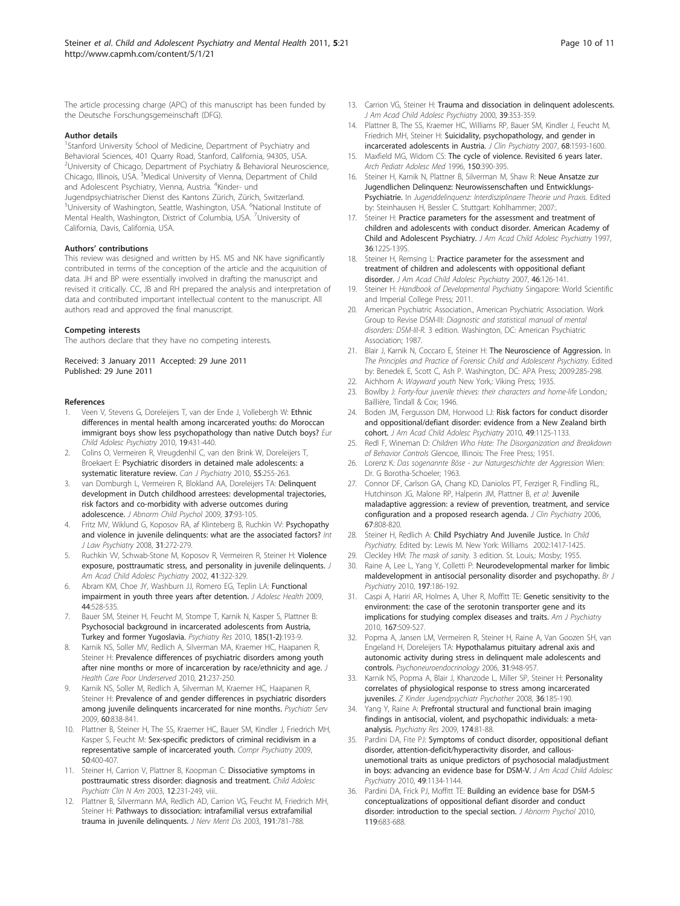<span id="page-9-0"></span>The article processing charge (APC) of this manuscript has been funded by the Deutsche Forschungsgemeinschaft (DFG).

#### Author details

<sup>1</sup>Stanford University School of Medicine, Department of Psychiatry and Behavioral Sciences, 401 Quarry Road, Stanford, California, 94305, USA. <sup>2</sup>University of Chicago, Department of Psychiatry & Behavioral Neuroscience, Chicago, Illinois, USA. <sup>3</sup>Medical University of Vienna, Department of Child and Adolescent Psychiatry, Vienna, Austria. <sup>4</sup>Kinder- und Jugendpsychiatrischer Dienst des Kantons Zürich, Zürich, Switzerland. <sup>5</sup>University of Washington, Seattle, Washington, USA. <sup>6</sup>National Institute of Mental Health, Washington, District of Columbia, USA. <sup>7</sup>University of California, Davis, California, USA.

#### Authors' contributions

This review was designed and written by HS. MS and NK have significantly contributed in terms of the conception of the article and the acquisition of data. JH and BP were essentially involved in drafting the manuscript and revised it critically. CC, JB and RH prepared the analysis and interpretation of data and contributed important intellectual content to the manuscript. All authors read and approved the final manuscript.

#### Competing interests

The authors declare that they have no competing interests.

Received: 3 January 2011 Accepted: 29 June 2011 Published: 29 June 2011

#### References

- 1. Veen V, Stevens G, Doreleijers T, van der Ende J, Vollebergh W: [Ethnic](http://www.ncbi.nlm.nih.gov/pubmed/20449708?dopt=Abstract) [differences in mental health among incarcerated youths: do Moroccan](http://www.ncbi.nlm.nih.gov/pubmed/20449708?dopt=Abstract) [immigrant boys show less psychopathology than native Dutch boys?](http://www.ncbi.nlm.nih.gov/pubmed/20449708?dopt=Abstract) Eur Child Adolesc Psychiatry 2010, 19:431-440.
- 2. Colins O, Vermeiren R, Vreugdenhil C, van den Brink W, Doreleijers T, Broekaert E: [Psychiatric disorders in detained male adolescents: a](http://www.ncbi.nlm.nih.gov/pubmed/20416149?dopt=Abstract) [systematic literature review.](http://www.ncbi.nlm.nih.gov/pubmed/20416149?dopt=Abstract) Can J Psychiatry 2010, 55:255-263.
- 3. van Domburgh L, Vermeiren R, Blokland AA, Doreleijers TA: [Delinquent](http://www.ncbi.nlm.nih.gov/pubmed/18704675?dopt=Abstract) [development in Dutch childhood arrestees: developmental trajectories,](http://www.ncbi.nlm.nih.gov/pubmed/18704675?dopt=Abstract) [risk factors and co-morbidity with adverse outcomes during](http://www.ncbi.nlm.nih.gov/pubmed/18704675?dopt=Abstract) [adolescence.](http://www.ncbi.nlm.nih.gov/pubmed/18704675?dopt=Abstract) J Abnorm Child Psychol 2009, 37:93-105.
- 4. Fritz MV, Wiklund G, Koposov RA, af Klinteberg B, Ruchkin W: [Psychopathy](http://www.ncbi.nlm.nih.gov/pubmed/18502509?dopt=Abstract) [and violence in juvenile delinquents: what are the associated factors?](http://www.ncbi.nlm.nih.gov/pubmed/18502509?dopt=Abstract) Int J Law Psychiatry 2008, 31:272-279.
- 5. Ruchkin VV, Schwab-Stone M, Koposov R, Vermeiren R, Steiner H: [Violence](http://www.ncbi.nlm.nih.gov/pubmed/11886027?dopt=Abstract) [exposure, posttraumatic stress, and personality in juvenile delinquents.](http://www.ncbi.nlm.nih.gov/pubmed/11886027?dopt=Abstract) J Am Acad Child Adolesc Psychiatry 2002, 41:322-329.
- Abram KM, Choe JY, Washburn JJ, Romero EG, Teplin LA: [Functional](http://www.ncbi.nlm.nih.gov/pubmed/19465316?dopt=Abstract) [impairment in youth three years after detention.](http://www.ncbi.nlm.nih.gov/pubmed/19465316?dopt=Abstract) J Adolesc Health 2009, 44:528-535.
- 7. Bauer SM, Steiner H, Feucht M, Stompe T, Karnik N, Kasper S, Plattner B: Psychosocial background in incarcerated adolescents from Austria, Turkey and former Yugoslavia. Psychiatry Res 2010, 185(1-2):193-9.
- 8. Karnik NS, Soller MV, Redlich A, Silverman MA, Kraemer HC, Haapanen R, Steiner H: [Prevalence differences of psychiatric disorders among youth](http://www.ncbi.nlm.nih.gov/pubmed/20173266?dopt=Abstract) [after nine months or more of incarceration by race/ethnicity and age.](http://www.ncbi.nlm.nih.gov/pubmed/20173266?dopt=Abstract) J Health Care Poor Underserved 2010, 21:237-250.
- Karnik NS, Soller M, Redlich A, Silverman M, Kraemer HC, Haapanen R, Steiner H: [Prevalence of and gender differences in psychiatric disorders](http://www.ncbi.nlm.nih.gov/pubmed/19487357?dopt=Abstract) [among juvenile delinquents incarcerated for nine months.](http://www.ncbi.nlm.nih.gov/pubmed/19487357?dopt=Abstract) Psychiatr Serv 2009, 60:838-841.
- 10. Plattner B, Steiner H, The SS, Kraemer HC, Bauer SM, Kindler J, Friedrich MH, Kasper S, Feucht M: [Sex-specific predictors of criminal recidivism in a](http://www.ncbi.nlm.nih.gov/pubmed/19683609?dopt=Abstract) [representative sample of incarcerated youth.](http://www.ncbi.nlm.nih.gov/pubmed/19683609?dopt=Abstract) Compr Psychiatry 2009, 50:400-407.
- 11. Steiner H, Carrion V, Plattner B, Koopman C: [Dissociative symptoms in](http://www.ncbi.nlm.nih.gov/pubmed/12725010?dopt=Abstract) [posttraumatic stress disorder: diagnosis and treatment.](http://www.ncbi.nlm.nih.gov/pubmed/12725010?dopt=Abstract) Child Adolesc Psychiatr Clin N Am 2003, 12:231-249, viii..
- 12. Plattner B, Silvermann MA, Redlich AD, Carrion VG, Feucht M, Friedrich MH, Steiner H: [Pathways to dissociation: intrafamilial versus extrafamilial](http://www.ncbi.nlm.nih.gov/pubmed/14671454?dopt=Abstract) [trauma in juvenile delinquents.](http://www.ncbi.nlm.nih.gov/pubmed/14671454?dopt=Abstract) J Nerv Ment Dis 2003, 191:781-788.
- 13. Carrion VG, Steiner H: Trauma and dissociation in delinguent adolescents. J Am Acad Child Adolesc Psychiatry 2000, 39:353-359.
- 14. Plattner B, The SS, Kraemer HC, Williams RP, Bauer SM, Kindler J, Feucht M, Friedrich MH, Steiner H: [Suicidality, psychopathology, and gender in](http://www.ncbi.nlm.nih.gov/pubmed/17960977?dopt=Abstract) [incarcerated adolescents in Austria.](http://www.ncbi.nlm.nih.gov/pubmed/17960977?dopt=Abstract) J Clin Psychiatry 2007, 68:1593-1600.
- 15. Maxfield MG, Widom CS: [The cycle of violence. Revisited 6 years later.](http://www.ncbi.nlm.nih.gov/pubmed/8634734?dopt=Abstract) Arch Pediatr Adolesc Med 1996, 150:390-395.
- 16. Steiner H, Karnik N, Plattner B, Silverman M, Shaw R: Neue Ansatze zur Jugendlichen Delinquenz: Neurowissenschaften und Entwicklungs-Psychiatrie. In Jugenddelinquenz: Interdisziplinaere Theorie und Praxis. Edited by: Steinhausen H, Bessler C. Stuttgart: Kohlhammer; 2007:.
- 17. Steiner H: [Practice parameters for the assessment and treatment of](http://www.ncbi.nlm.nih.gov/pubmed/9334568?dopt=Abstract) [children and adolescents with conduct disorder. American Academy of](http://www.ncbi.nlm.nih.gov/pubmed/9334568?dopt=Abstract) [Child and Adolescent Psychiatry.](http://www.ncbi.nlm.nih.gov/pubmed/9334568?dopt=Abstract) J Am Acad Child Adolesc Psychiatry 1997, 36:122S-139S.
- 18. Steiner H, Remsing L: [Practice parameter for the assessment and](http://www.ncbi.nlm.nih.gov/pubmed/17195736?dopt=Abstract) [treatment of children and adolescents with oppositional defiant](http://www.ncbi.nlm.nih.gov/pubmed/17195736?dopt=Abstract) [disorder.](http://www.ncbi.nlm.nih.gov/pubmed/17195736?dopt=Abstract) J Am Acad Child Adolesc Psychiatry 2007, 46:126-141.
- 19. Steiner H: Handbook of Developmental Psychiatry Singapore: World Scientific and Imperial College Press; 2011.
- 20. American Psychiatric Association., American Psychiatric Association. Work Group to Revise DSM-III: Diagnostic and statistical manual of mental disorders: DSM-III-R. 3 edition. Washington, DC: American Psychiatric Association; 1987.
- 21. Blair J, Karnik N, Coccaro E, Steiner H: The Neuroscience of Aggression. In The Principles and Practice of Forensic Child and Adolescent Psychiatry. Edited by: Benedek E, Scott C, Ash P. Washington, DC: APA Press; 2009:285-298.
- 22. Aichhorn A: Wayward youth New York,: Viking Press; 1935.
- 23. Bowlby J: Forty-four juvenile thieves: their characters and home-life London,: Baillière, Tindall & Cox; 1946.
- 24. Boden JM, Fergusson DM, Horwood LJ: [Risk factors for conduct disorder](http://www.ncbi.nlm.nih.gov/pubmed/20970700?dopt=Abstract) [and oppositional/defiant disorder: evidence from a New Zealand birth](http://www.ncbi.nlm.nih.gov/pubmed/20970700?dopt=Abstract) [cohort.](http://www.ncbi.nlm.nih.gov/pubmed/20970700?dopt=Abstract) J Am Acad Child Adolesc Psychiatry 2010, 49:1125-1133.
- 25. Redl F, Wineman D: Children Who Hate: The Disorganization and Breakdown of Behavior Controls Glencoe, Illinois: The Free Press; 1951.
- 26. Lorenz K: Das sogenannte Böse zur Naturgeschichte der Aggression Wien: Dr. G Borotha-Schoeler; 1963.
- 27. Connor DF, Carlson GA, Chang KD, Daniolos PT, Ferziger R, Findling RL, Hutchinson JG, Malone RP, Halperin JM, Plattner B, et al: [Juvenile](http://www.ncbi.nlm.nih.gov/pubmed/16841631?dopt=Abstract) [maladaptive aggression: a review of prevention, treatment, and service](http://www.ncbi.nlm.nih.gov/pubmed/16841631?dopt=Abstract) [configuration and a proposed research agenda.](http://www.ncbi.nlm.nih.gov/pubmed/16841631?dopt=Abstract) J Clin Psychiatry 2006, 67:808-820.
- 28. Steiner H, Redlich A: Child Psychiatry And Juvenile Justice. In Child Psychiatry. Edited by: Lewis M. New York: Williams 2002:1417-1425.
- 29. Cleckley HM: The mask of sanity. 3 edition. St. Louis,: Mosby; 1955.
- 30. Raine A, Lee L, Yang Y, Colletti P: [Neurodevelopmental marker for limbic](http://www.ncbi.nlm.nih.gov/pubmed/20807962?dopt=Abstract) [maldevelopment in antisocial personality disorder and psychopathy.](http://www.ncbi.nlm.nih.gov/pubmed/20807962?dopt=Abstract) Br J Psychiatry 2010, 197:186-192.
- 31. Caspi A, Hariri AR, Holmes A, Uher R, Moffitt TE: [Genetic sensitivity to the](http://www.ncbi.nlm.nih.gov/pubmed/20231323?dopt=Abstract) [environment: the case of the serotonin transporter gene and its](http://www.ncbi.nlm.nih.gov/pubmed/20231323?dopt=Abstract) [implications for studying complex diseases and traits.](http://www.ncbi.nlm.nih.gov/pubmed/20231323?dopt=Abstract) Am J Psychiatry 2010, 167:509-527.
- 32. Popma A, Jansen LM, Vermeiren R, Steiner H, Raine A, Van Goozen SH, van Engeland H, Doreleijers TA: [Hypothalamus pituitary adrenal axis and](http://www.ncbi.nlm.nih.gov/pubmed/16831519?dopt=Abstract) [autonomic activity during stress in delinquent male adolescents and](http://www.ncbi.nlm.nih.gov/pubmed/16831519?dopt=Abstract) [controls.](http://www.ncbi.nlm.nih.gov/pubmed/16831519?dopt=Abstract) Psychoneuroendocrinology 2006, 31:948-957.
- 33. Karnik NS, Popma A, Blair J, Khanzode L, Miller SP, Steiner H: [Personality](http://www.ncbi.nlm.nih.gov/pubmed/18622978?dopt=Abstract) [correlates of physiological response to stress among incarcerated](http://www.ncbi.nlm.nih.gov/pubmed/18622978?dopt=Abstract) [juveniles.](http://www.ncbi.nlm.nih.gov/pubmed/18622978?dopt=Abstract) Z Kinder Jugendpsychiatr Psychother 2008, 36:185-190.
- Yang Y, Raine A: [Prefrontal structural and functional brain imaging](http://www.ncbi.nlm.nih.gov/pubmed/19833485?dopt=Abstract) [findings in antisocial, violent, and psychopathic individuals: a meta](http://www.ncbi.nlm.nih.gov/pubmed/19833485?dopt=Abstract)[analysis.](http://www.ncbi.nlm.nih.gov/pubmed/19833485?dopt=Abstract) Psychiatry Res 2009, 174:81-88.
- 35. Pardini DA, Fite PJ: [Symptoms of conduct disorder, oppositional defiant](http://www.ncbi.nlm.nih.gov/pubmed/20970701?dopt=Abstract) [disorder, attention-deficit/hyperactivity disorder, and callous](http://www.ncbi.nlm.nih.gov/pubmed/20970701?dopt=Abstract)[unemotional traits as unique predictors of psychosocial maladjustment](http://www.ncbi.nlm.nih.gov/pubmed/20970701?dopt=Abstract) [in boys: advancing an evidence base for DSM-V.](http://www.ncbi.nlm.nih.gov/pubmed/20970701?dopt=Abstract) J Am Acad Child Adolesc Psychiatry 2010, 49:1134-1144.
- 36. Pardini DA, Frick PJ, Moffitt TE: [Building an evidence base for DSM-5](http://www.ncbi.nlm.nih.gov/pubmed/21090874?dopt=Abstract) [conceptualizations of oppositional defiant disorder and conduct](http://www.ncbi.nlm.nih.gov/pubmed/21090874?dopt=Abstract) [disorder: introduction to the special section.](http://www.ncbi.nlm.nih.gov/pubmed/21090874?dopt=Abstract) J Abnorm Psychol 2010, 119:683-688.